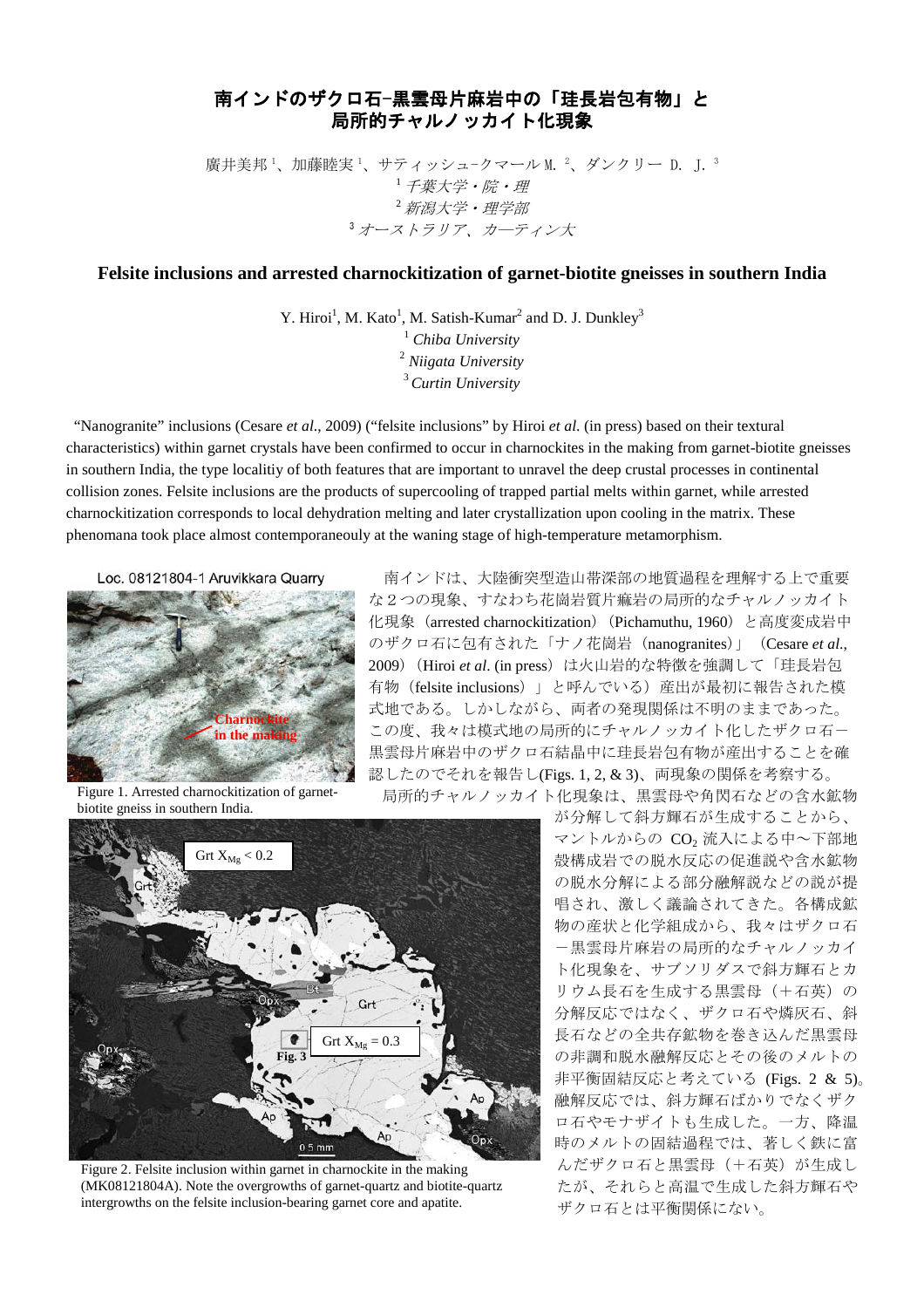## 南インドのザクロ石-黒雲母片麻岩中の「珪長岩包有物」と 局所的チャルノッカイト化現象

廣井美邦 '、加藤睦実 '、サティッシュ-クマール M. <sup>2</sup>、ダンクリー D. J. <sup>3</sup> <sup>1</sup>千葉大学・院・理  $^{2}$  新潟大学・理学部 <sup>3</sup>オース*トラリア、カーティン大* 

## **Felsite inclusions and arrested charnockitization of garnet-biotite gneisses in southern India**

Y. Hiroi<sup>1</sup>, M. Kato<sup>1</sup>, M. Satish-Kumar<sup>2</sup> and D. J. Dunkley<sup>3</sup> *Chiba University Niigata University Curtin University*

"Nanogranite" inclusions (Cesare *et al*., 2009) ("felsite inclusions" by Hiroi *et al*. (in press) based on their textural characteristics) within garnet crystals have been confirmed to occur in charnockites in the making from garnet-biotite gneisses in southern India, the type localitiy of both features that are important to unravel the deep crustal processes in continental collision zones. Felsite inclusions are the products of supercooling of trapped partial melts within garnet, while arrested charnockitization corresponds to local dehydration melting and later crystallization upon cooling in the matrix. These phenomana took place almost contemporaneouly at the waning stage of high-temperature metamorphism.

Loc. 08121804-1 Aruvikkara Quarry



南インドは、大陸衝突型造山帯深部の地質過程を理解する上で重要 な2つの現象、すなわち花崗岩質片痲岩の局所的なチャルノッカイト 化現象 (arrested charnockitization) (Pichamuthu, 1960) と高度変成岩中 のザクロ石に包有された「ナノ花崗岩 (nanogranites)」 (Cesare *et al*., 2009)(Hiroi *et al*. (in press)は火山岩的な特徴を強調して「珪長岩包 有物(felsite inclusions)」と呼んでいる)産出が最初に報告された模 式地である。しかしながら、両者の発現関係は不明のままであった。 この度、我々は模式地の局所的にチャルノッカイト化したザクロ石ー 黒雲母片麻岩中のザクロ石結晶中に珪長岩包有物が産出することを確 認したのでそれを報告し(Figs. 1, 2, & 3)、両現象の関係を考察する。 局所的チャルノッカイト化現象は、黒雲母や角閃石などの含水鉱物

Figure 1. Arrested charnockitization of garnetbiotite gneiss in southern India.



Figure 2. Felsite inclusion within garnet in charnockite in the making (MK08121804A). Note the overgrowths of garnet-quartz and biotite-quartz intergrowths on the felsite inclusion-bearing garnet core and apatite.

が分解して斜方輝石が生成することから、 マントルからの CO<sub>2</sub> 流入による中~下部地 殻構成岩での脱水反応の促進説や含水鉱物 の脱水分解による部分融解説などの説が提 唱され、激しく議論されてきた。各構成鉱 物の産状と化学組成から、我々はザクロ石 -黒雲母片麻岩の局所的なチャルノッカイ ト化現象を、サブソリダスで斜方輝石とカ リウム長石を生成する黒雲母(+石英)の 分解反応ではなく、ザクロ石や燐灰石、斜 長石などの全共存鉱物を巻き込んだ黒雲母 の非調和脱水融解反応とその後のメルトの 非平衡固結反応と考えている (Figs. 2 & 5)。 融解反応では、斜方輝石ばかりでなくザク ロ石やモナザイトも生成した。一方、降温 時のメルトの固結過程では、著しく鉄に富 んだザクロ石と黒雲母(+石英)が生成し たが、それらと高温で生成した斜方輝石や ザクロ石とは平衡関係にない。